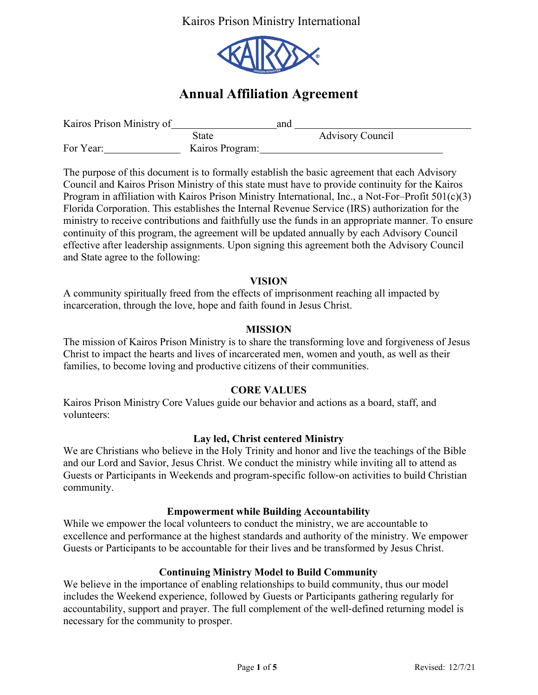Kairos Prison Ministry International



# **Annual Affiliation Agreement**

| Kairos Prison Ministry of |                 | and |                         |  |
|---------------------------|-----------------|-----|-------------------------|--|
|                           | State           |     | <b>Advisory Council</b> |  |
| For Year:                 | Kairos Program: |     |                         |  |

The purpose of this document is to formally establish the basic agreement that each Advisory Council and Kairos Prison Ministry of this state must have to provide continuity for the Kairos Program in affiliation with Kairos Prison Ministry International, Inc., a Not-For–Profit 501(c)(3) Florida Corporation. This establishes the Internal Revenue Service (IRS) authorization for the ministry to receive contributions and faithfully use the funds in an appropriate manner. To ensure continuity of this program, the agreement will be updated annually by each Advisory Council effective after leadership assignments. Upon signing this agreement both the Advisory Council and State agree to the following:

# **VISION**

A community spiritually freed from the effects of imprisonment reaching all impacted by incarceration, through the love, hope and faith found in Jesus Christ.

#### **MISSION**

The mission of Kairos Prison Ministry is to share the transforming love and forgiveness of Jesus Christ to impact the hearts and lives of incarcerated men, women and youth, as well as their families, to become loving and productive citizens of their communities.

#### **CORE VALUES**

Kairos Prison Ministry Core Values guide our behavior and actions as a board, staff, and volunteers:

# **Lay led, Christ centered Ministry**

We are Christians who believe in the Holy Trinity and honor and live the teachings of the Bible and our Lord and Savior, Jesus Christ. We conduct the ministry while inviting all to attend as Guests or Participants in Weekends and program-specific follow‐on activities to build Christian community.

# **Empowerment while Building Accountability**

While we empower the local volunteers to conduct the ministry, we are accountable to excellence and performance at the highest standards and authority of the ministry. We empower Guests or Participants to be accountable for their lives and be transformed by Jesus Christ.

# **Continuing Ministry Model to Build Community**

We believe in the importance of enabling relationships to build community, thus our model includes the Weekend experience, followed by Guests or Participants gathering regularly for accountability, support and prayer. The full complement of the well‐defined returning model is necessary for the community to prosper.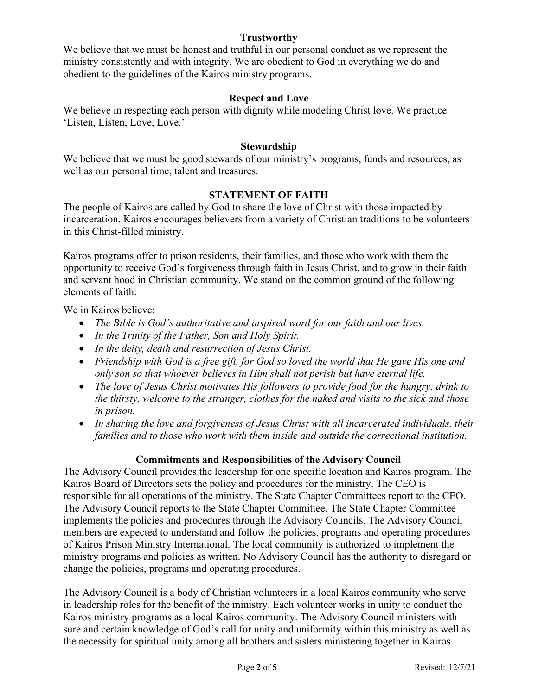# **Trustworthy**

We believe that we must be honest and truthful in our personal conduct as we represent the ministry consistently and with integrity. We are obedient to God in everything we do and obedient to the guidelines of the Kairos ministry programs.

#### **Respect and Love**

We believe in respecting each person with dignity while modeling Christ love. We practice 'Listen, Listen, Love, Love.'

#### **Stewardship**

We believe that we must be good stewards of our ministry's programs, funds and resources, as well as our personal time, talent and treasures.

# **STATEMENT OF FAITH**

The people of Kairos are called by God to share the love of Christ with those impacted by incarceration. Kairos encourages believers from a variety of Christian traditions to be volunteers in this Christ-filled ministry.

Kairos programs offer to prison residents, their families, and those who work with them the opportunity to receive God's forgiveness through faith in Jesus Christ, and to grow in their faith and servant hood in Christian community. We stand on the common ground of the following elements of faith:

We in Kairos believe:

- *The Bible is God's authoritative and inspired word for our faith and our lives.*
- *In the Trinity of the Father, Son and Holy Spirit.*
- *In the deity, death and resurrection of Jesus Christ.*
- *Friendship with God is a free gift, for God so loved the world that He gave His one and only son so that whoever believes in Him shall not perish but have eternal life.*
- *The love of Jesus Christ motivates His followers to provide food for the hungry, drink to the thirsty, welcome to the stranger, clothes for the naked and visits to the sick and those in prison.*
- *In sharing the love and forgiveness of Jesus Christ with all incarcerated individuals, their families and to those who work with them inside and outside the correctional institution.*

# **Commitments and Responsibilities of the Advisory Council**

The Advisory Council provides the leadership for one specific location and Kairos program. The Kairos Board of Directors sets the policy and procedures for the ministry. The CEO is responsible for all operations of the ministry. The State Chapter Committees report to the CEO. The Advisory Council reports to the State Chapter Committee. The State Chapter Committee implements the policies and procedures through the Advisory Councils. The Advisory Council members are expected to understand and follow the policies, programs and operating procedures of Kairos Prison Ministry International. The local community is authorized to implement the ministry programs and policies as written. No Advisory Council has the authority to disregard or change the policies, programs and operating procedures.

The Advisory Council is a body of Christian volunteers in a local Kairos community who serve in leadership roles for the benefit of the ministry. Each volunteer works in unity to conduct the Kairos ministry programs as a local Kairos community. The Advisory Council ministers with sure and certain knowledge of God's call for unity and uniformity within this ministry as well as the necessity for spiritual unity among all brothers and sisters ministering together in Kairos.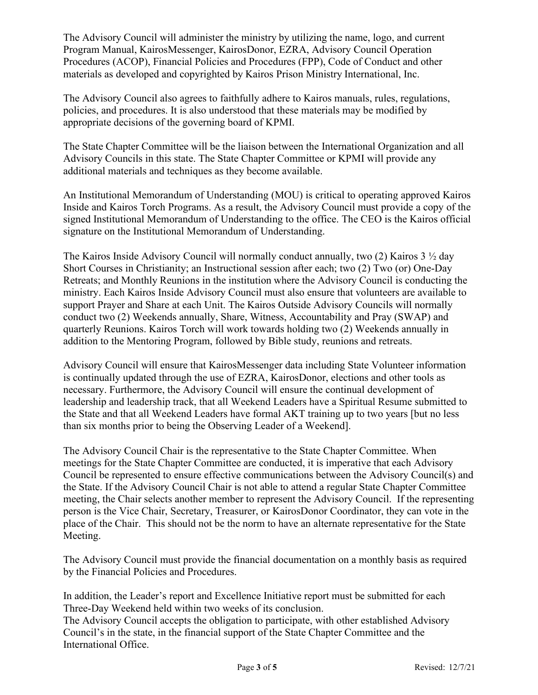The Advisory Council will administer the ministry by utilizing the name, logo, and current Program Manual, KairosMessenger, KairosDonor, EZRA, Advisory Council Operation Procedures (ACOP), Financial Policies and Procedures (FPP), Code of Conduct and other materials as developed and copyrighted by Kairos Prison Ministry International, Inc.

The Advisory Council also agrees to faithfully adhere to Kairos manuals, rules, regulations, policies, and procedures. It is also understood that these materials may be modified by appropriate decisions of the governing board of KPMI.

The State Chapter Committee will be the liaison between the International Organization and all Advisory Councils in this state. The State Chapter Committee or KPMI will provide any additional materials and techniques as they become available.

An Institutional Memorandum of Understanding (MOU) is critical to operating approved Kairos Inside and Kairos Torch Programs. As a result, the Advisory Council must provide a copy of the signed Institutional Memorandum of Understanding to the office. The CEO is the Kairos official signature on the Institutional Memorandum of Understanding.

The Kairos Inside Advisory Council will normally conduct annually, two (2) Kairos 3 ½ day Short Courses in Christianity; an Instructional session after each; two (2) Two (or) One-Day Retreats; and Monthly Reunions in the institution where the Advisory Council is conducting the ministry. Each Kairos Inside Advisory Council must also ensure that volunteers are available to support Prayer and Share at each Unit. The Kairos Outside Advisory Councils will normally conduct two (2) Weekends annually, Share, Witness, Accountability and Pray (SWAP) and quarterly Reunions. Kairos Torch will work towards holding two (2) Weekends annually in addition to the Mentoring Program, followed by Bible study, reunions and retreats.

Advisory Council will ensure that KairosMessenger data including State Volunteer information is continually updated through the use of EZRA, KairosDonor, elections and other tools as necessary. Furthermore, the Advisory Council will ensure the continual development of leadership and leadership track, that all Weekend Leaders have a Spiritual Resume submitted to the State and that all Weekend Leaders have formal AKT training up to two years [but no less than six months prior to being the Observing Leader of a Weekend].

The Advisory Council Chair is the representative to the State Chapter Committee. When meetings for the State Chapter Committee are conducted, it is imperative that each Advisory Council be represented to ensure effective communications between the Advisory Council(s) and the State. If the Advisory Council Chair is not able to attend a regular State Chapter Committee meeting, the Chair selects another member to represent the Advisory Council. If the representing person is the Vice Chair, Secretary, Treasurer, or KairosDonor Coordinator, they can vote in the place of the Chair. This should not be the norm to have an alternate representative for the State Meeting.

The Advisory Council must provide the financial documentation on a monthly basis as required by the Financial Policies and Procedures.

In addition, the Leader's report and Excellence Initiative report must be submitted for each Three-Day Weekend held within two weeks of its conclusion.

The Advisory Council accepts the obligation to participate, with other established Advisory Council's in the state, in the financial support of the State Chapter Committee and the International Office.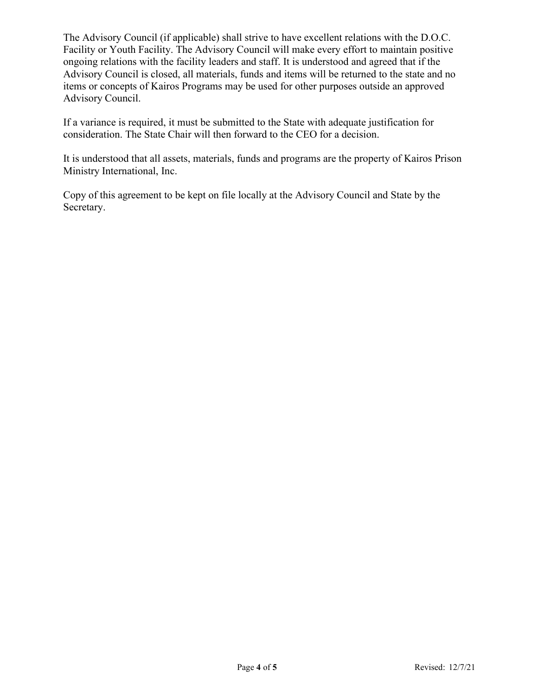The Advisory Council (if applicable) shall strive to have excellent relations with the D.O.C. Facility or Youth Facility. The Advisory Council will make every effort to maintain positive ongoing relations with the facility leaders and staff. It is understood and agreed that if the Advisory Council is closed, all materials, funds and items will be returned to the state and no items or concepts of Kairos Programs may be used for other purposes outside an approved Advisory Council.

If a variance is required, it must be submitted to the State with adequate justification for consideration. The State Chair will then forward to the CEO for a decision.

It is understood that all assets, materials, funds and programs are the property of Kairos Prison Ministry International, Inc.

Copy of this agreement to be kept on file locally at the Advisory Council and State by the Secretary.